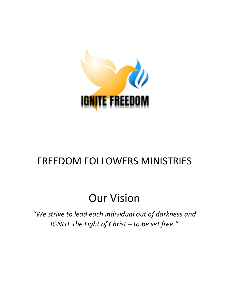

## FREEDOM FOLLOWERS MINISTRIES

# Our Vision

*"We strive to lead each individual out of darkness and IGNITE the Light of Christ - to be set free.*"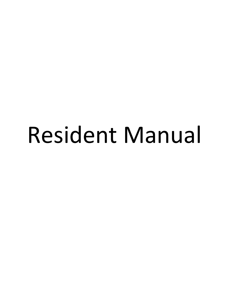# Resident Manual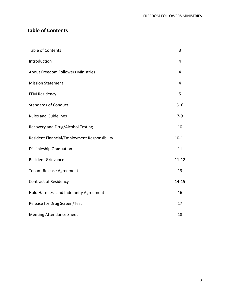### **Table of Contents**

| <b>Table of Contents</b>                     | 3         |
|----------------------------------------------|-----------|
| Introduction                                 | 4         |
| <b>About Freedom Followers Ministries</b>    | 4         |
| <b>Mission Statement</b>                     | 4         |
| FFM Residency                                | 5         |
| <b>Standards of Conduct</b>                  | $5 - 6$   |
| <b>Rules and Guidelines</b>                  | $7-9$     |
| Recovery and Drug/Alcohol Testing            | 10        |
| Resident Financial/Employment Responsibility | $10 - 11$ |
| Discipleship Graduation                      | 11        |
| <b>Resident Grievance</b>                    | $11 - 12$ |
| <b>Tenant Release Agreement</b>              | 13        |
| <b>Contract of Residency</b>                 | $14 - 15$ |
| Hold Harmless and Indemnity Agreement        | 16        |
| Release for Drug Screen/Test                 | 17        |
| <b>Meeting Attendance Sheet</b>              | 18        |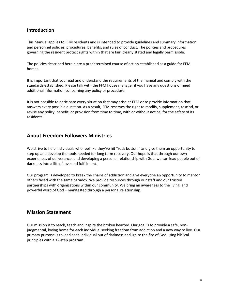#### **Introduction**

This Manual applies to FFM residents and is intended to provide guidelines and summary information and personnel policies, procedures, benefits, and rules of conduct. The policies and procedures governing the resident protect rights within that are fair, clearly stated and legally permissible.

The policies described herein are a predetermined course of action established as a guide for FFM homes.

It is important that you read and understand the requirements of the manual and comply with the standards established. Please talk with the FFM house manager if you have any questions or need additional information concerning any policy or procedure.

It is not possible to anticipate every situation that may arise at FFM or to provide information that answers every possible question. As a result, FFM reserves the right to modify, supplement, rescind, or revise any policy, benefit, or provision from time to time, with or without notice, for the safety of its residents.

#### **About Freedom Followers Ministries**

We strive to help individuals who feel like they've hit "rock bottom" and give them an opportunity to step up and develop the tools needed for long term recovery. Our hope is that through our own experiences of deliverance, and developing a personal relationship with God, we can lead people out of darkness into a life of love and fulfillment.

Our program is developed to break the chains of addiction and give everyone an opportunity to mentor others faced with the same paradox. We provide resources through our staff and our trusted partnerships with organizations within our community. We bring an awareness to the living, and powerful word of God – manifested through a personal relationship.

#### **Mission Statement**

Our mission is to reach, teach and inspire the broken hearted. Our goal is to provide a safe, nonjudgmental, loving home for each individual seeking freedom from addiction and a new way to live. Our primary purpose is to lead each individual out of darkness and ignite the fire of God using biblical principles with a 12-step program.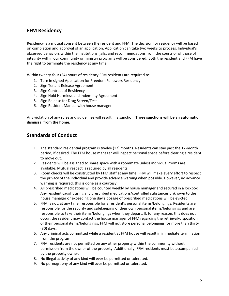#### **FFM Residency**

Residency is a mutual consent between the resident and FFM. The decision for residency will be based on completion and approval of an application. Application can take two weeks to process. Individual's observed behaviors within the institutions, jails, and recommendations from the courts or of those of integrity within our community or ministry programs will be considered. Both the resident and FFM have the right to terminate the residency at any time.

Within twenty-four (24) hours of residency FFM residents are required to:

- 1. Turn in signed Application for Freedom Followers Residency
- 2. Sign Tenant Release Agreement
- 3. Sign Contract of Residency
- 4. Sign Hold Harmless and Indemnity Agreement
- 5. Sign Release for Drug Screen/Test
- 6. Sign Resident Manual with house manager

Any violation of any rules and guidelines will result in a sanction. **Three sanctions will be an automatic dismissal from the home.**

#### **Standards of Conduct**

- 1. The standard residential program is twelve (12) months. Residents can stay past the 12-month period, if desired. The FFM house manager will inspect personal space before clearing a resident to move out.
- 2. Residents will be assigned to share space with a roommate unless individual rooms are available. Mutual respect is required by all residents.
- 3. Room checks will be constructed by FFM staff at any time. FFM will make every effort to respect the privacy of the individual and provide advance warning when possible. However, no advance warning is required; this is done as a courtesy.
- 4. All prescribed medications will be counted weekly by house manager and secured in a lockbox. Any resident caught using any prescribed medications/controlled substances unknown to the house manager or exceeding one day's dosage of prescribed medications will be evicted.
- 5. FFM is not, at any time, responsible for a resident's personal items/belongings. Residents are responsible for the security and safekeeping of their own personal items/belongings and are responsible to take their items/belongings when they depart. If, for any reason, this does not occur, the resident may contact the house manager of FFM regarding the retrieval/disposition of their personal items/belongings. FFM will not store personal belongings for more than thirty (30) days.
- 6. Any criminal acts committed while a resident at FFM house will result in immediate termination from the program.
- 7. FFM residents are not permitted on any other property within the community without permission from the owner of the property. Additionally, FFM residents must be accompanied by the property owner.
- 8. No illegal activity of any kind will ever be permitted or tolerated.
- 9. No pornography of any kind will ever be permitted or tolerated.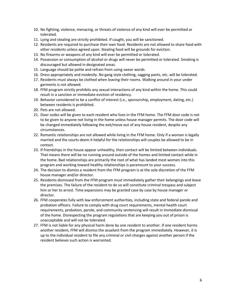- 10. No fighting, violence, menacing, or threats of violence of any kind will ever be permitted or tolerated.
- 11. Lying and stealing are strictly prohibited. If caught, you will be sanctioned.
- 12. Residents are required to purchase their own food. Residents are not allowed to share food with other residents unless agreed upon. Stealing food will be grounds for eviction.
- 13. No firearms or weapons of any kind will ever be permitted or tolerated.
- 14. Possession or consumption of alcohol or drugs will never be permitted or tolerated. Smoking is discouraged but allowed in designated areas.
- 15. Language should be polite and refrain from using swear words.
- 16. Dress appropriately and modestly. No gang style clothing, sagging pants, etc. will be tolerated.
- 17. Residents must always be clothed when leaving their rooms. Walking around in your under garments is not allowed.
- 18. FFM program strictly prohibits any sexual interactions of any kind within the home. This could result in a sanction or immediate eviction of residency.
- 19. Behavior considered to be a conflict of interest (i.e., sponsorship, employment, dating, etc.) between residents is prohibited.
- 20. Pets are not allowed.
- 21. Door codes will be given to each resident who lives in the FFM home. The FFM door code is not to be given to anyone not living in the home unless house manager permits. The door code will be changed immediately following the exit/move out of any house resident, despite any circumstances.
- 22. Romantic relationships are not allowed while living in the FFM home. Only if a woman is legally married and the courts deem it helpful for the relationships will couples be allowed to be in contact.
- 23. If friendships in the house appear unhealthy, then contact will be limited between individuals. That means there will be no running around outside of the homes and limited contact while in the home. Bad relationships are primarily the root of what has landed most women into this program and working toward healthy relationships is paramount to your success.
- 24. The decision to dismiss a resident from the FFM program is at the sole discretion of the FFM house manager and/or director.
- 25. Residents dismissed from the FFM program must immediately gather their belongings and leave the premises. The failure of the resident to do so will constitute criminal trespass and subject him or her to arrest. Time expansions may be granted case by case by house manager or director.
- 26. FFM cooperates fully with law enforcement authorities, including state and federal parole and probation officers. Failure to comply with drug court requirements, mental health court requirements, probation, parole, and community sentencing will result in immediate dismissal of the home. Disrespecting the program regulations that are keeping you out of prison is unacceptable and will not be tolerated.
- 27. FFM is not liable for any physical harm done by one resident to another. If one resident harms another resident, FFM will dismiss the assailant from the program immediately. However, it is up to the individual resident to file any criminal or civil charges against another person if the resident believes such action is warranted.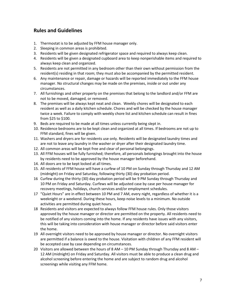#### **Rules and Guidelines**

- 1. Thermostat is to be adjusted by FFM house manager only.
- 2. Sleeping in common areas is prohibited.
- 3. Residents will be given designated refrigerator space and required to always keep clean.
- 4. Residents will be given a designated cupboard area to keep nonperishable items and required to always keep clean and organized.
- 5. Residents are not permitted in any bedroom other than their own without permission from the resident(s) residing in that room; they must also be accompanied by the permitted resident.
- 6. Any maintenance or repair, damage or hazards will be reported immediately to the FFM house manager. No structural changes may be made on the premises, inside or out under any circumstances.
- 7. All furnishings and other property on the premises that belong to the landlord and/or FFM are not to be moved, damaged, or removed.
- 8. The premises will be always kept neat and clean. Weekly chores will be designated to each resident as well as a daily kitchen schedule. Chores and will be checked by the house manager twice a week. Failure to comply with weekly chore list and kitchen schedule can result in fines from \$25 to \$100.
- 9. Beds are required to be made at all times unless currently being slept in.
- 10. Residence bedrooms are to be kept clean and organized at all times. If bedrooms are not up to FFM standard, fines will be given.
- 11. Washers and dryers are for residents use only. Residents will be designated laundry times and are not to leave any laundry in the washer or dryer after their designated laundry time.
- 12. All common areas will be kept free and clear of personal belongings.
- 13. All FFM houses will be fully furnished; therefore, all personals belongings brought into the house by residents need to be approved by the house manager beforehand.
- 14. All doors are to be kept locked at all times.
- 15. All residents of FFM house will have a curfew of 10 PM on Sunday through Thursday and 12 AM (midnight) on Friday and Saturday, following thirty (30) day probation period.
- 16 Curfew during the thirty (30) day probation period will be 9 PM Sunday through Thursday and 10 PM on Friday and Saturday. Curfews will be adjusted case by case per house manager for recovery meetings, holidays, church services and/or employment schedules.
- 17 "Quiet Hours" are in effect between 10 PM and 7 AM, every night, regardless of whether it is a weeknight or a weekend. During these hours, keep noise levels to a minimum. No outside activities are permitted during quiet hours.
- 18 Residents and visitors are expected to always follow FFM house rules. Only those visitors approved by the house manager or director are permitted on the property. All residents need to be notified of any visitors coming into the home. If any residents have issues with any visitors, this will be taking into consideration with house manager or director before said visitors enter the home.
- 19 All overnight visitors need to be approved by house manager or director. No overnight visitors are permitted if a balance is owed to the house. Visitation with children of any FFM resident will be accepted case by case depending on circumstances.
- 20 Visitors are allowed between the hours of 8 AM 10 PM Sunday through Thursday and 8 AM 12 AM (midnight) on Friday and Saturday. All visitors must be able to produce a clean drug and alcohol screening before entering the home and are subject to random drug and alcohol screenings while visiting any FFM home.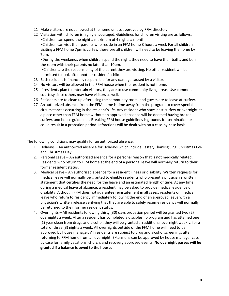- 21 Male visitors are not allowed at the home unless approved by FFM director.
- 22 Visitation with children is highly encouraged. Guidelines for children visiting are as follows: •Children can spend the night a maximum of 4 nights a month.

•Children can visit their parents who reside in an FFM home 8 hours a week For all children visiting a FFM home 7pm is curfew therefore all children will need to be leaving the home by 7pm.

•During the weekends when children spend the night, they need to have their baths and be in the room with their parents no later than 10pm.

•Children are the responsibility of the parent they are visiting. No other resident will be permitted to look after another resident's child.

- 23 Each resident is financially responsible for any damage caused by a visitor.
- 24 No visitors will be allowed in the FFM house when the resident is not home.
- 25 If residents plan to entertain visitors, they are to use community living areas. Use common courtesy since others may have visitors as well.
- 26 Residents are to clean up after using the community room, and guests are to leave at curfew.
- 27 An authorized absence from the FFM home is time away from the program to cover special circumstances occurring in the resident's life. Any resident who stays past curfew or overnight at a place other than FFM home without an approved absence will be deemed having broken curfew, and house guidelines. Breaking FFM house guidelines is grounds for termination or could result in a probation period. Infractions will be dealt with on a case-by-case basis.

The following conditions may qualify for an authorized absence:

- 1. Holidays An authorized absence for Holidays which include Easter, Thanksgiving, Christmas Eve and Christmas Day.
- 2. Personal Leave An authorized absence for a personal reason that is not medically related. Residents who return to FFM home at the end of a personal leave will normally return to their former resident status.
- 3. Medical Leave An authorized absence for a resident illness or disability. Written requests for medical leave will normally be granted to eligible residents who present a physician's written statement that certifies the need for the leave and an estimated length of time. At any time during a medical leave of absence, a resident may be asked to provide medical evidence of disability. Although FFM does not guarantee reinstatement in all cases, residents on medical leave who return to residency immediately following the end of an approved leave with a physician's written release verifying that they are able to safely resume residency will normally be returned to their former resident status.
- 4. Overnights All residents following thirty (30) days probation period will be granted two (2) overnights a week. After a resident has completed a discipleship program and has attained one (1) year clean from drugs and alcohol, they will be granted an additional overnight weekly, for a total of three (3) nights a week. All overnights outside of the FFM home will need to be approved by house manager. All residents are subject to drug and alcohol screenings after returning to FFM home from an overnight. Extensions can be approved by house manager case by case for family vacations, church, and recovery approved events. **No overnight passes will be granted if a balance is owed to the house.**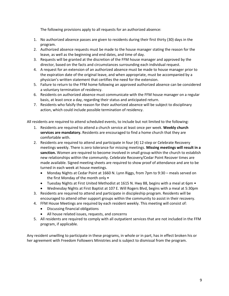The following provisions apply to all requests for an authorized absence:

- 1. No authorized absence passes are given to residents during their first thirty (30) days in the program.
- 2. Authorized absence requests must be made to the house manager stating the reason for the leave, as well as the beginning and end dates, and time of day.
- 3. Requests will be granted at the discretion of the FFM house manager and approved by the director, based on the facts and circumstances surrounding each individual request.
- 4. A request for an extension of an authorized absence must be made to house manager prior to the expiration date of the original leave, and when appropriate, must be accompanied by a physician's written statement that certifies the need for the extension.
- 5. Failure to return to the FFM home following an approved authorized absence can be considered a voluntary termination of residency.
- 6. Residents on authorized absence must communicate with the FFM house manager on a regular basis, at least once a day, regarding their status and anticipated return.
- 7. Residents who falsify the reason for their authorized absence will be subject to disciplinary action, which could include possible termination of residency.

All residents are required to attend scheduled events, to include but not limited to the following:

- 1. Residents are required to attend a church service at least once per week. **Weekly church services are mandatory.** Residents are encouraged to find a home church that they are comfortable with.
- 2. Residents are required to attend and participate in four (4) 12-step or Celebrate Recovery meetings weekly. There is zero tolerance for missing meetings. **Missing meetings will result in a sanction.** Women are required to become involved in small group within the church to establish new relationships within the community. Celebrate Recovery/Cedar Point Recover times are made available. Signed meeting sheets are required to show proof of attendance and are to be turned in each week at house meetings.
	- Monday Nights at Cedar Point at 1660 N. Lynn Riggs, from 7pm to 9:30 meals served on the first Monday of the month only •
	- Tuesday Nights at First United Methodist at 1615 N. Hwy 88, begins with a meal at 6pm •
	- Wednesday Nights at First Baptist at 107 E. Will Rogers Blvd, begins with a meal at 5:30pm
- 3. Residents are required to attend and participate in discipleship program. Residents will be encouraged to attend other support groups within the community to assist in their recovery.
- 4. FFM House Meetings are required by each resident weekly. This meeting will consist of:
	- Discussing financial obligations
	- All house related issues, requests, and concerns
- 5. All residents are required to comply with all outpatient services that are not included in the FFM program, if applicable.

Any resident unwilling to participate in these programs, in whole or in part, has in effect broken his or her agreement with Freedom Followers Ministries and is subject to dismissal from the program.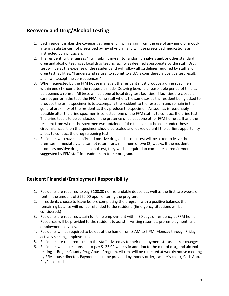#### **Recovery and Drug/Alcohol Testing**

- 1. Each resident makes the covenant agreement "I will refrain from the use of any mind or moodaltering substances not prescribed by my physician and will use prescribed medications as instructed by a physician."
- 2. The resident further agrees "I will submit myself to random urinalysis and/or other standard drug and alcohol testing at local drug testing facility as deemed appropriate by the staff. Drug test will be at the expense of the resident and will follow all guidelines required by staff and drug test facilities. "I understand refusal to submit to a UA is considered a positive test result, and I will accept the consequences."
- 3. When requested by the FFM house manager, the resident must produce a urine specimen within one (1) hour after the request is made. Delaying beyond a reasonable period of time can be deemed a refusal. All tests will be done at local drug test facilities. If facilities are closed or cannot perform the test, the FFM home staff who is the same sex as the resident being asked to produce the urine specimen is to accompany the resident to the restroom and remain in the general proximity of the resident as they produce the specimen. As soon as is reasonably possible after the urine specimen is collected, one of the FFM staff is to conduct the urine test. The urine test is to be conducted in the presence of at least one other FFM home staff and the resident from whom the specimen was obtained. If the test cannot be done under these circumstances, then the specimen should be sealed and locked up until the earliest opportunity arises to conduct the drug screening test.
- 4. Residents who have a confirmed positive drug and alcohol test will be asked to leave the premises immediately and cannot return for a minimum of two (2) weeks. If the resident produces positive drug and alcohol test, they will be required to complete all requirements suggested by FFM staff for readmission to the program.

#### **Resident Financial/Employment Responsibility**

- 1. Residents are required to pay \$100.00 non-refundable deposit as well as the first two weeks of rent in the amount of \$250.00 upon entering the program.
- 2. If residents choose to leave before completing the program with a positive balance, the remaining balance will not be refunded to the resident. (Emergency situations will be considered.)
- 3. Residents are required attain full time employment within 30 days of residency at FFM home. Resources will be provided to the resident to assist in writing resumes, pre-employment, and employment services.
- 4. Residents will be required to be out of the home from 8 AM to 5 PM, Monday through Friday actively seeking employment.
- 5. Residents are required to keep the staff advised as to their employment status and/or changes.
- 6. Residents will be responsible to pay \$125.00 weekly in addition to the cost of drug and alcohol testing at Rogers County Drug Abuse Program. All rent will be collected at weekly house meeting by FFM house director. Payments must be provided by money order, cashier's check, Cash App, PayPal, or cash.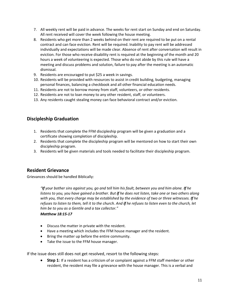- 7. All weekly rent will be paid in advance. The weeks for rent start on Sunday and end on Saturday. All rent received will cover the week following the house meeting.
- 8. Residents who get more than 2 weeks behind on their rent are required to be put on a rental contract and can face eviction. Rent will be required. Inability to pay rent will be addressed individually and expectations will be made clear. Absence of rent after conversation will result in eviction. For those who receive disability rent is required at the beginning of the month and 20 hours a week of volunteering is expected. Those who do not abide by this rule will have a meeting and discuss problems and solution, failure to pay after the meeting is an automatic dismissal.
- 9. Residents are encouraged to put \$25 a week in savings.
- 10. Residents will be provided with resources to assist in credit building, budgeting, managing personal finances, balancing a checkbook and all other financial education needs.
- 11. Residents are not to borrow money from staff, volunteers, or other residents.
- 12. Residents are not to loan money to any other resident, staff, or volunteers.
- 13. Any residents caught stealing money can face behavioral contract and/or eviction.

#### **Discipleship Graduation**

- 1. Residents that complete the FFM discipleship program will be given a graduation and a certificate showing completion of discipleship.
- 2. Residents that complete the discipleship program will be mentored on how to start their own discipleship program.
- 3. Residents will be given materials and tools needed to facilitate their discipleship program.

#### **Resident Grievance**

Grievances should be handled Biblically:

*"If your bother sins against you, go and tell him his fault, between you and him alone. If he listens to you, you have gained a brother. But if he does not listen, take one or two others along with you, that every charge may be established by the evidence of two or three witnesses. If he refuses to listen to them, tell it to the church. And if he refuses to listen even to the church, let him be to you as a Gentile and a tax collector."*

#### *Matthew 18:15-17*

- Discuss the matter in private with the resident.
- Have a meeting which includes the FFM house manager and the resident.
- Bring the matter up before the entire community.
- Take the issue to the FFM house manager.

If the issue does still does not get resolved, resort to the following steps:

**Step 1**: If a resident has a criticism of or complaint against a FFM staff member or other resident, the resident may file a grievance with the house manager. This is a verbal and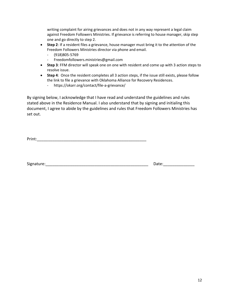writing complaint for airing grievances and does not in any way represent a legal claim against Freedom Followers Ministries. If grievance is referring to house manager, skip step one and go directly to step 2.

- **Step 2**: If a resident files a grievance, house manager must bring it to the attention of the Freedom Followers Ministries director via phone and email.
	- (918)805-5769
	- Freedomfollowers.ministries@gmail.com
- **Step 3**: FFM director will speak one on one with resident and come up with 3 action steps to resolve issue.
- **Step 4**: Once the resident completes all 3 action steps, if the issue still exists, please follow the link to file a grievance with Oklahoma Alliance for Recovery Residences.
	- https://okarr.org/contact/file-a-grievance/

By signing below, I acknowledge that I have read and understand the guidelines and rules stated above in the Residence Manual. I also understand that by signing and initialing this document, I agree to abide by the guidelines and rules that Freedom Followers Ministries has set out.

Print:\_\_\_\_\_\_\_\_\_\_\_\_\_\_\_\_\_\_\_\_\_\_\_\_\_\_\_\_\_\_\_\_\_\_\_\_\_\_\_\_\_\_\_\_\_\_\_\_\_

Signature:\_\_\_\_\_\_\_\_\_\_\_\_\_\_\_\_\_\_\_\_\_\_\_\_\_\_\_\_\_\_\_\_\_\_\_\_\_\_\_\_\_\_\_\_\_\_ Date:\_\_\_\_\_\_\_\_\_\_\_\_\_\_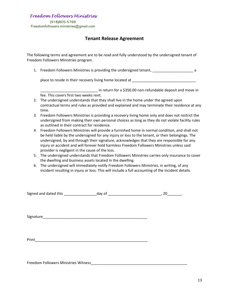*Freedom Followers Ministries* 

(918)805-5769 Freedomfollowers.ministries@gmail.com

#### **Tenant Release Agreement**

The following terms and agreement are to be read and fully understood by the undersigned tenant of Freedom Followers Ministries program.

1. Freedom Followers Ministries is providing the undersigned tenant, \_\_\_\_\_\_\_\_\_\_\_\_\_\_\_\_\_\_\_\_\_\_\_\_\_\_\_\_ a

place to reside in their recovery living home located at \_\_\_\_\_\_\_\_\_\_\_\_\_\_\_\_\_\_\_\_\_\_\_\_\_\_\_\_\_\_

\_\_\_\_\_\_\_\_\_\_\_\_\_\_\_\_\_\_\_\_\_\_\_\_\_\_\_\_ in return for a \$350.00 non-refundable deposit and move in fee. This covers first two weeks rent.

- 2. The undersigned understands that they shall live in the home under the agreed upon contractual terms and rules as provided and explained and may terminate their residence at any time.
- 3. Freedom Followers Ministries is providing a recovery living home only and does not restrict the undersigned from making their own personal choices as long as they do not violate facility rules as outlined in their contract for residence.
- 4. Freedom Followers Ministries will provide a furnished home in normal condition, and shall not be held liable by the undersigned for any injury or loss to the tenant, or their belongings. The undersigned, by and through their signature, acknowledges that they are responsible for any injury or accident and will forever hold harmless Freedom Followers Ministries unless said provider is negligent in the cause of the loss.
- 5. The undersigned understands that Freedom Followers Ministries carries only insurance to cover the dwelling and business assets located in the dwelling.
- 6. The undersigned will immediately notify Freedom Followers Ministries, in writing, of any incident resulting in injury or loss. This will include a full accounting of the incident details.

Signed and dated this \_\_\_\_\_\_\_\_\_\_\_\_\_\_\_\_day of \_\_\_\_\_\_\_\_\_\_\_\_\_\_\_\_\_\_\_\_\_\_\_\_\_\_, 20\_\_\_\_\_\_\_.

Signature\_\_\_\_\_\_\_\_\_\_\_\_\_\_\_\_\_\_\_\_\_\_\_\_\_\_\_\_\_\_\_\_\_\_\_\_\_\_\_\_\_\_\_\_\_\_\_\_\_\_\_

Print\_\_\_\_\_\_\_\_\_\_\_\_\_\_\_\_\_\_\_\_\_\_\_\_\_\_\_\_\_\_\_\_\_\_\_\_\_\_\_\_\_\_\_\_\_\_\_\_\_\_\_\_\_\_\_

Freedom Followers Ministries Witness\_\_\_\_\_\_\_\_\_\_\_\_\_\_\_\_\_\_\_\_\_\_\_\_\_\_\_\_\_\_\_\_\_\_\_\_\_\_\_\_\_\_\_\_\_\_\_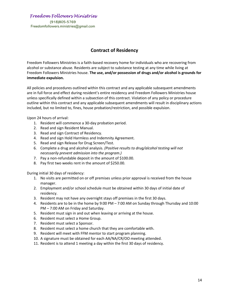(918)805-5769 *Freedom Followers Ministries* 

Freedomfollowers.ministries@gmail.com

#### **Contract of Residency**

Freedom Followers Ministries is a faith-based recovery home for individuals who are recovering from alcohol or substance abuse. Residents are subject to substance testing at any time while living at Freedom Followers Ministries house. **The use, and/or possession of drugs and/or alcohol is grounds for immediate expulsion.** 

All policies and procedures outlined within this contract and any applicable subsequent amendments are in full force and effect during resident's entire residency and Freedom Followers Ministries house unless specifically defined within a subsection of this contract. Violation of any policy or procedure outline within this contract and any applicable subsequent amendments will result in disciplinary actions included, but no limited to, fines, house probation/restriction, and possible expulsion.

Upon 24 hours of arrival:

- 1. Resident will commence a 30-day probation period.
- 2. Read and sign Resident Manual.
- 3. Read and sign Contract of Residency.
- 4. Read and sign Hold Harmless and Indemnity Agreement.
- 5. Read and sign Release for Drug Screen/Test.
- 6. Complete a drug and alcohol analysis. *(Positive results to drug/alcohol testing will not necessarily prevent admission into the program.)*
- 7. Pay a non-refundable deposit in the amount of \$100.00.
- 8. Pay first two weeks rent in the amount of \$250.00.

During initial 30 days of residency:

- 1. No visits are permitted on or off premises unless prior approval is received from the house manager.
- 2. Employment and/or school schedule must be obtained within 30 days of initial date of residency.
- 3. Resident may not have any overnight stays off premises in the first 30 days.
- 4. Residents are to be in the home by 9:00 PM 7:00 AM on Sunday through Thursday and 10:00 PM – 7:00 AM on Friday and Saturday.
- 5. Resident must sign in and out when leaving or arriving at the house.
- 6. Resident must select a Home Group.
- 7. Resident must select a Sponsor.
- 8. Resident must select a home church that they are comfortable with.
- 9. Resident will meet with FFM mentor to start program planning.
- 10. A signature must be obtained for each AA/NA/CR/OO meeting attended.
- 11. Resident is to attend 1 meeting a day within the first 30 days of residency.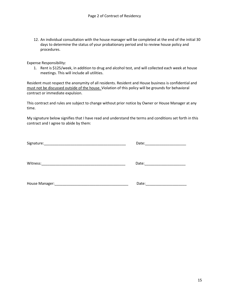12. An individual consultation with the house manager will be completed at the end of the initial 30 days to determine the status of your probationary period and to review house policy and procedures.

Expense Responsibility:

1. Rent is \$125/week, in addition to drug and alcohol test, and will collected each week at house meetings. This will include all utilities.

Resident must respect the anonymity of all residents. Resident and House business is confidential and must not be discussed outside of the house. Violation of this policy will be grounds for behavioral contract or immediate expulsion.

This contract and rules are subject to change without prior notice by Owner or House Manager at any time.

My signature below signifies that I have read and understand the terms and conditions set forth in this contract and I agree to abide by them:

| Signature:                                                                                   | Date: |
|----------------------------------------------------------------------------------------------|-------|
| Witness:                                                                                     | Date: |
| House Manager:<br>the control of the control of the control of the control of the control of | Date: |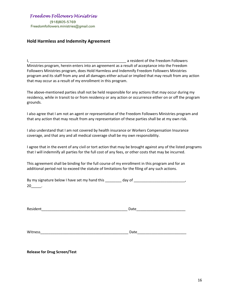(918)805-5769 Freedomfollowers.ministries@gmail.com *Freedom Followers Ministries* 

#### **Hold Harmless and Indemnity Agreement**

I, \_\_\_\_\_\_\_\_\_\_\_\_\_\_\_\_\_\_\_\_\_\_\_\_\_\_\_\_\_\_\_\_\_\_\_\_\_\_\_\_\_\_\_\_\_\_\_ a resident of the Freedom Followers Ministries program, herein enters into an agreement as a result of acceptance into the Freedom Followers Ministries program, does Hold Harmless and Indemnify Freedom Followers Ministries program and its staff from any and all damages either actual or implied that may result from any action that may occur as a result of my enrollment in this program.

The above-mentioned parties shall not be held responsible for any actions that may occur during my residency, while in transit to or from residency or any action or occurrence either on or off the program grounds.

I also agree that I am not an agent or representative of the Freedom Followers Ministries program and that any action that may result from any representation of these parties shall be at my own risk.

I also understand that I am not covered by health insurance or Workers Compensation Insurance coverage, and that any and all medical coverage shall be my own responsibility.

I agree that in the event of any civil or tort action that may be brought against any of the listed programs that I will indemnify all parties for the full cost of any fees, or other costs that may be incurred.

This agreement shall be binding for the full course of my enrollment in this program and for an additional period not to exceed the statute of limitations for the filing of any such actions.

| By my signature below I have set my hand this | day of |  |
|-----------------------------------------------|--------|--|
| 20                                            |        |  |

| $\sim$<br>، ب<br>nr |  |
|---------------------|--|
|                     |  |

Witness **Example 2** and the set of the set of the set of the set of the set of the set of the set of the set of the set of the set of the set of the set of the set of the set of the set of the set of the set of the set of

**Release for Drug Screen/Test**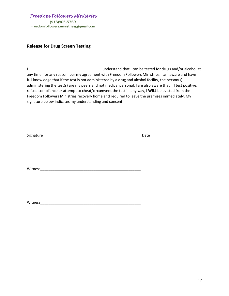(918)805-5769 Freedomfollowers.ministries@gmail.com *Freedom Followers Ministries* 

#### **Release for Drug Screen Testing**

I \_\_\_\_\_\_\_\_\_\_\_\_\_\_\_\_\_\_\_\_\_\_\_\_\_\_\_\_\_\_\_\_\_\_\_, understand that I can be tested for drugs and/or alcohol at any time, for any reason, per my agreement with Freedom Followers Ministries. I am aware and have full knowledge that if the test is not administered by a drug and alcohol facility, the person(s) administering the test(s) are my peers and not medical personal. I am also aware that if I test positive, refuse compliance or attempt to cheat/circumvent the test in any way, I **WILL** be evicted from the Freedom Followers Ministries recovery home and required to leave the premises immediately. My signature below indicates my understanding and consent.

| Signature | Date |
|-----------|------|
|           |      |
|           |      |
|           |      |
|           |      |
|           |      |

Witness **witness** 

Witness\_\_\_\_\_\_\_\_\_\_\_\_\_\_\_\_\_\_\_\_\_\_\_\_\_\_\_\_\_\_\_\_\_\_\_\_\_\_\_\_\_\_\_\_\_\_\_\_\_